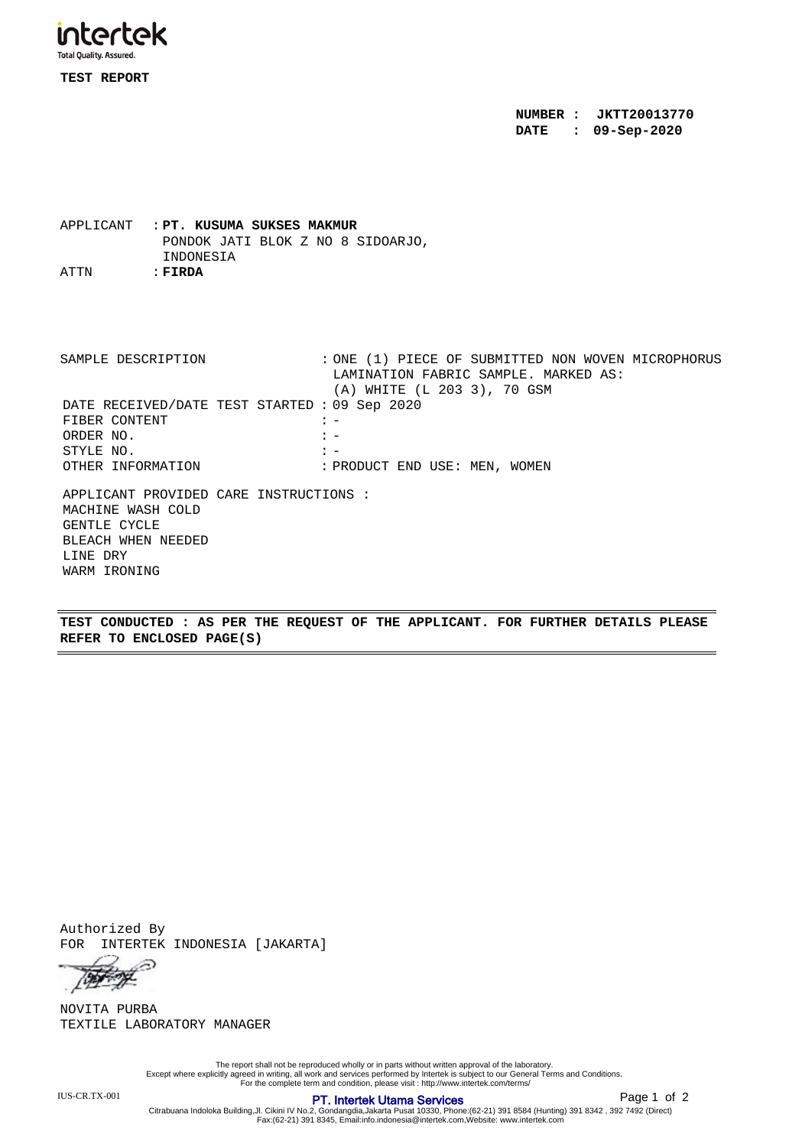

**TEST REPORT**

**NUMBER : JKTT20013770 DATE : 09-Sep-2020**

APPLICANT : **PT. KUSUMA SUKSES MAKMUR** PONDOK JATI BLOK Z NO 8 SIDOARJO, INDONESIA ATTN : **FIRDA**

APPLICANT PROVIDED CARE INSTRUCTIONS : MACHINE WASH COLD GENTLE CYCLE BLEACH WHEN NEEDED LINE DRY WARM IRONING DATE RECEIVED/DATE TEST STARTED : 09 Sep 2020 FIBER CONTENT  $: -$ ORDER NO.  $\qquad \qquad : -$ STYLE  $NO.$   $:$ OTHER INFORMATION : PRODUCT END USE: MEN, WOMEN SAMPLE DESCRIPTION : ONE (1) PIECE OF SUBMITTED NON WOVEN MICROPHORUS LAMINATION FABRIC SAMPLE. MARKED AS: (A) WHITE (L 203 3), 70 GSM

**TEST CONDUCTED : AS PER THE REQUEST OF THE APPLICANT. FOR FURTHER DETAILS PLEASE REFER TO ENCLOSED PAGE(S)**

Authorized By FOR INTERTEK INDONESIA [JAKARTA]

⊝ Top of

TEXTILE LABORATORY MANAGER NOVITA PURBA

The report shall not be reproduced wholly or in parts without written approval of the laboratory.<br>Except where explicitly agreed in writing, all work and services performed by Intertek is subject to our General Terms and C

IUS-CR.TX-001 **PT. Intertek Utama Services** 

Citrabuana Indoloka Building,Jl. Cikini IV No.2, Gondangdia,Jakarta Pusat 10330, Phone:(62-21) 391 8584 (Hunting) 391 8342 , 392 7492 (Direct) Fax:(62-21) 391 8345, Email:info.indonesia@intertek.com,Website: www.intertek.com